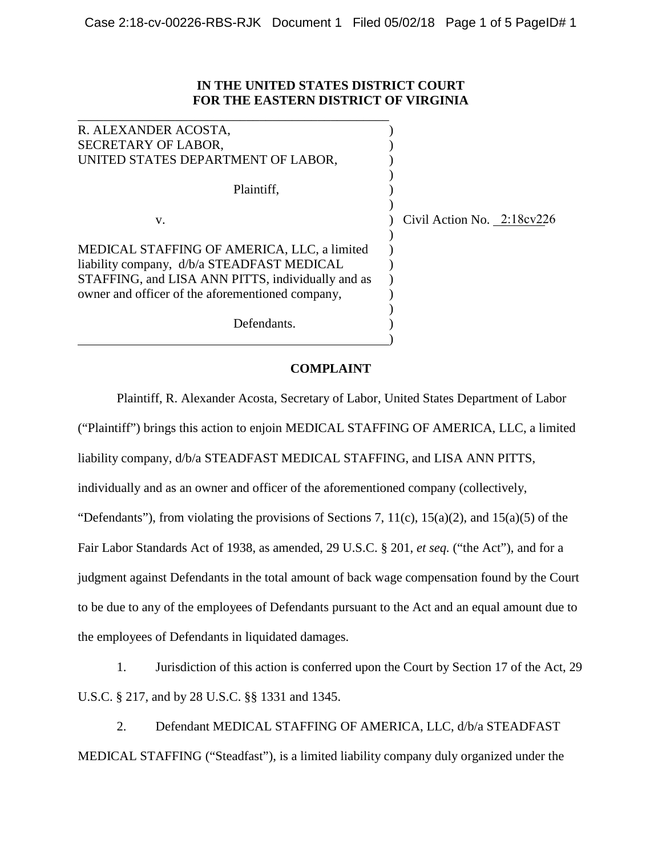## **IN THE UNITED STATES DISTRICT COURT FOR THE EASTERN DISTRICT OF VIRGINIA**

| R. ALEXANDER ACOSTA,                              |                            |
|---------------------------------------------------|----------------------------|
| SECRETARY OF LABOR,                               |                            |
| UNITED STATES DEPARTMENT OF LABOR,                |                            |
|                                                   |                            |
| Plaintiff,                                        |                            |
|                                                   |                            |
| V.                                                | Civil Action No. 2:18cv226 |
|                                                   |                            |
| MEDICAL STAFFING OF AMERICA, LLC, a limited       |                            |
| liability company, d/b/a STEADFAST MEDICAL        |                            |
| STAFFING, and LISA ANN PITTS, individually and as |                            |
| owner and officer of the aforementioned company,  |                            |
|                                                   |                            |
| Defendants.                                       |                            |
|                                                   |                            |

## **COMPLAINT**

Plaintiff, R. Alexander Acosta, Secretary of Labor, United States Department of Labor ("Plaintiff") brings this action to enjoin MEDICAL STAFFING OF AMERICA, LLC, a limited liability company, d/b/a STEADFAST MEDICAL STAFFING, and LISA ANN PITTS, individually and as an owner and officer of the aforementioned company (collectively, "Defendants"), from violating the provisions of Sections 7,  $11(c)$ ,  $15(a)(2)$ , and  $15(a)(5)$  of the Fair Labor Standards Act of 1938, as amended, 29 U.S.C. § 201, *et seq.* ("the Act"), and for a judgment against Defendants in the total amount of back wage compensation found by the Court to be due to any of the employees of Defendants pursuant to the Act and an equal amount due to the employees of Defendants in liquidated damages.

1. Jurisdiction of this action is conferred upon the Court by Section 17 of the Act, 29 U.S.C. § 217, and by 28 U.S.C. §§ 1331 and 1345.

2. Defendant MEDICAL STAFFING OF AMERICA, LLC, d/b/a STEADFAST MEDICAL STAFFING ("Steadfast"), is a limited liability company duly organized under the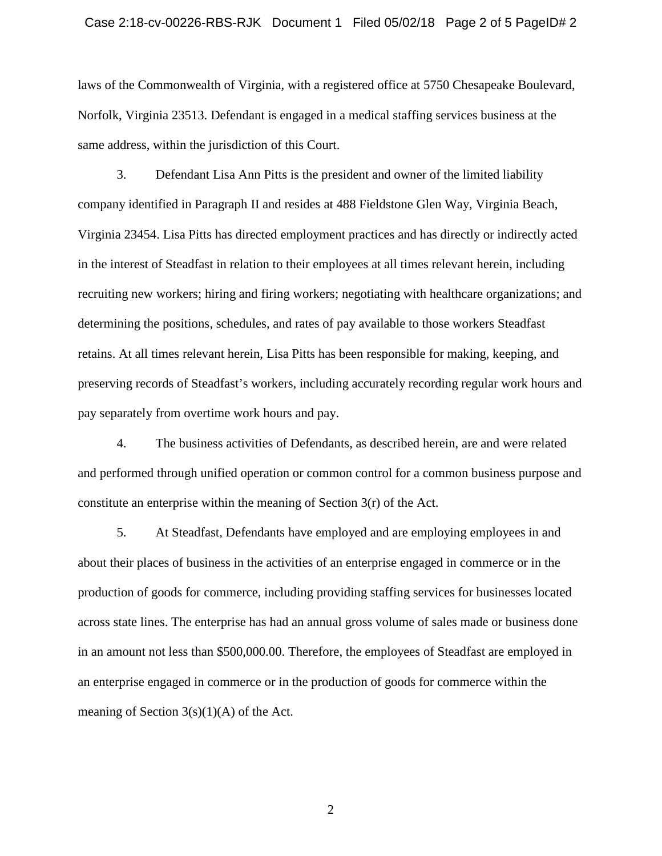laws of the Commonwealth of Virginia, with a registered office at 5750 Chesapeake Boulevard, Norfolk, Virginia 23513. Defendant is engaged in a medical staffing services business at the same address, within the jurisdiction of this Court.

3. Defendant Lisa Ann Pitts is the president and owner of the limited liability company identified in Paragraph II and resides at 488 Fieldstone Glen Way, Virginia Beach, Virginia 23454. Lisa Pitts has directed employment practices and has directly or indirectly acted in the interest of Steadfast in relation to their employees at all times relevant herein, including recruiting new workers; hiring and firing workers; negotiating with healthcare organizations; and determining the positions, schedules, and rates of pay available to those workers Steadfast retains. At all times relevant herein, Lisa Pitts has been responsible for making, keeping, and preserving records of Steadfast's workers, including accurately recording regular work hours and pay separately from overtime work hours and pay.

4. The business activities of Defendants, as described herein, are and were related and performed through unified operation or common control for a common business purpose and constitute an enterprise within the meaning of Section 3(r) of the Act.

5. At Steadfast, Defendants have employed and are employing employees in and about their places of business in the activities of an enterprise engaged in commerce or in the production of goods for commerce, including providing staffing services for businesses located across state lines. The enterprise has had an annual gross volume of sales made or business done in an amount not less than \$500,000.00. Therefore, the employees of Steadfast are employed in an enterprise engaged in commerce or in the production of goods for commerce within the meaning of Section  $3(s)(1)(A)$  of the Act.

2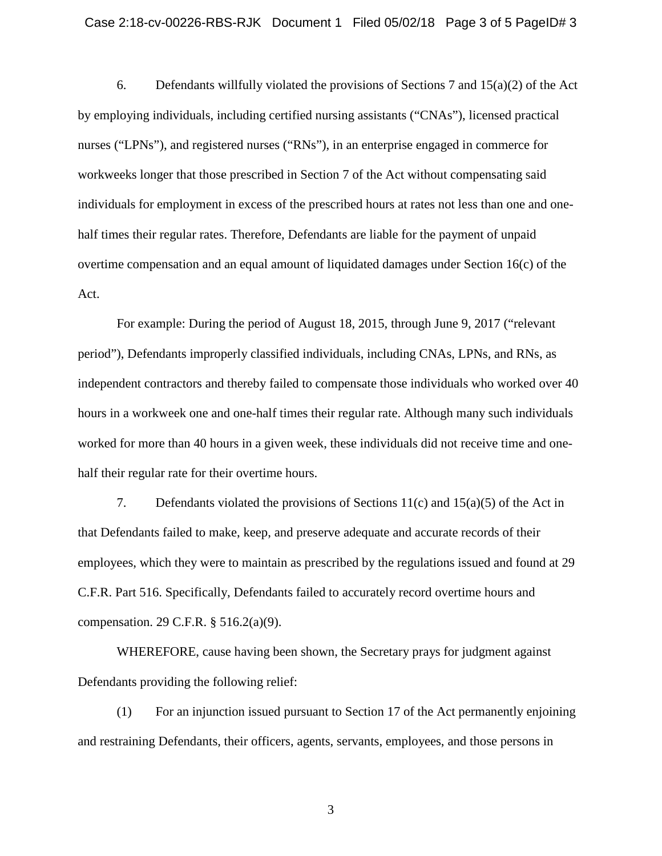6. Defendants willfully violated the provisions of Sections 7 and 15(a)(2) of the Act by employing individuals, including certified nursing assistants ("CNAs"), licensed practical nurses ("LPNs"), and registered nurses ("RNs"), in an enterprise engaged in commerce for workweeks longer that those prescribed in Section 7 of the Act without compensating said individuals for employment in excess of the prescribed hours at rates not less than one and onehalf times their regular rates. Therefore, Defendants are liable for the payment of unpaid overtime compensation and an equal amount of liquidated damages under Section 16(c) of the Act.

For example: During the period of August 18, 2015, through June 9, 2017 ("relevant period"), Defendants improperly classified individuals, including CNAs, LPNs, and RNs, as independent contractors and thereby failed to compensate those individuals who worked over 40 hours in a workweek one and one-half times their regular rate. Although many such individuals worked for more than 40 hours in a given week, these individuals did not receive time and onehalf their regular rate for their overtime hours.

7. Defendants violated the provisions of Sections 11(c) and 15(a)(5) of the Act in that Defendants failed to make, keep, and preserve adequate and accurate records of their employees, which they were to maintain as prescribed by the regulations issued and found at 29 C.F.R. Part 516. Specifically, Defendants failed to accurately record overtime hours and compensation. 29 C.F.R. § 516.2(a)(9).

WHEREFORE, cause having been shown, the Secretary prays for judgment against Defendants providing the following relief:

(1) For an injunction issued pursuant to Section 17 of the Act permanently enjoining and restraining Defendants, their officers, agents, servants, employees, and those persons in

3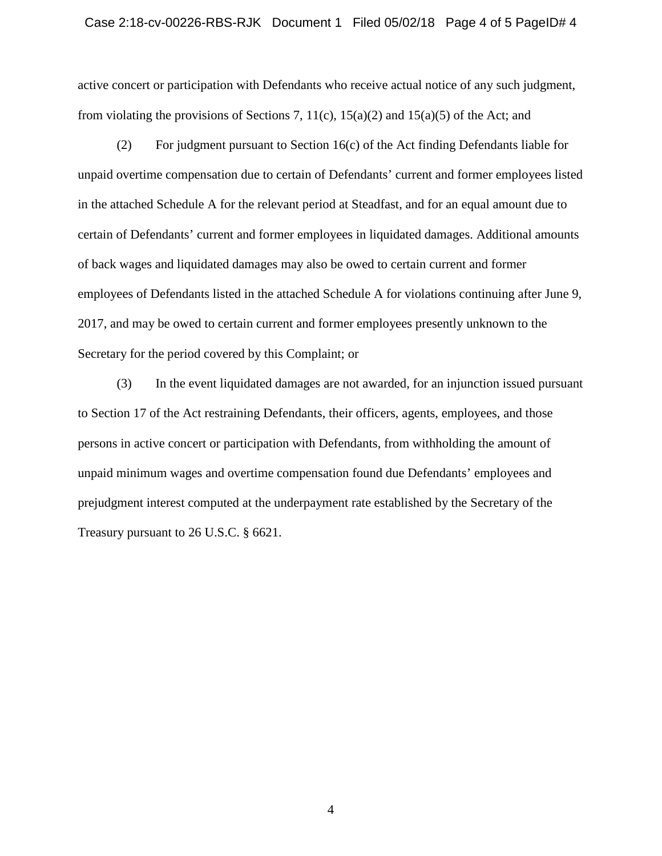## Case 2:18-cv-00226-RBS-RJK Document 1 Filed 05/02/18 Page 4 of 5 PageID# 4

active concert or participation with Defendants who receive actual notice of any such judgment, from violating the provisions of Sections 7,  $11(c)$ ,  $15(a)(2)$  and  $15(a)(5)$  of the Act; and

(2) For judgment pursuant to Section 16(c) of the Act finding Defendants liable for unpaid overtime compensation due to certain of Defendants' current and former employees listed in the attached Schedule A for the relevant period at Steadfast, and for an equal amount due to certain of Defendants' current and former employees in liquidated damages. Additional amounts of back wages and liquidated damages may also be owed to certain current and former employees of Defendants listed in the attached Schedule A for violations continuing after June 9, 2017, and may be owed to certain current and former employees presently unknown to the Secretary for the period covered by this Complaint; or

(3) In the event liquidated damages are not awarded, for an injunction issued pursuant to Section 17 of the Act restraining Defendants, their officers, agents, employees, and those persons in active concert or participation with Defendants, from withholding the amount of unpaid minimum wages and overtime compensation found due Defendants' employees and prejudgment interest computed at the underpayment rate established by the Secretary of the Treasury pursuant to 26 U.S.C. § 6621.

4